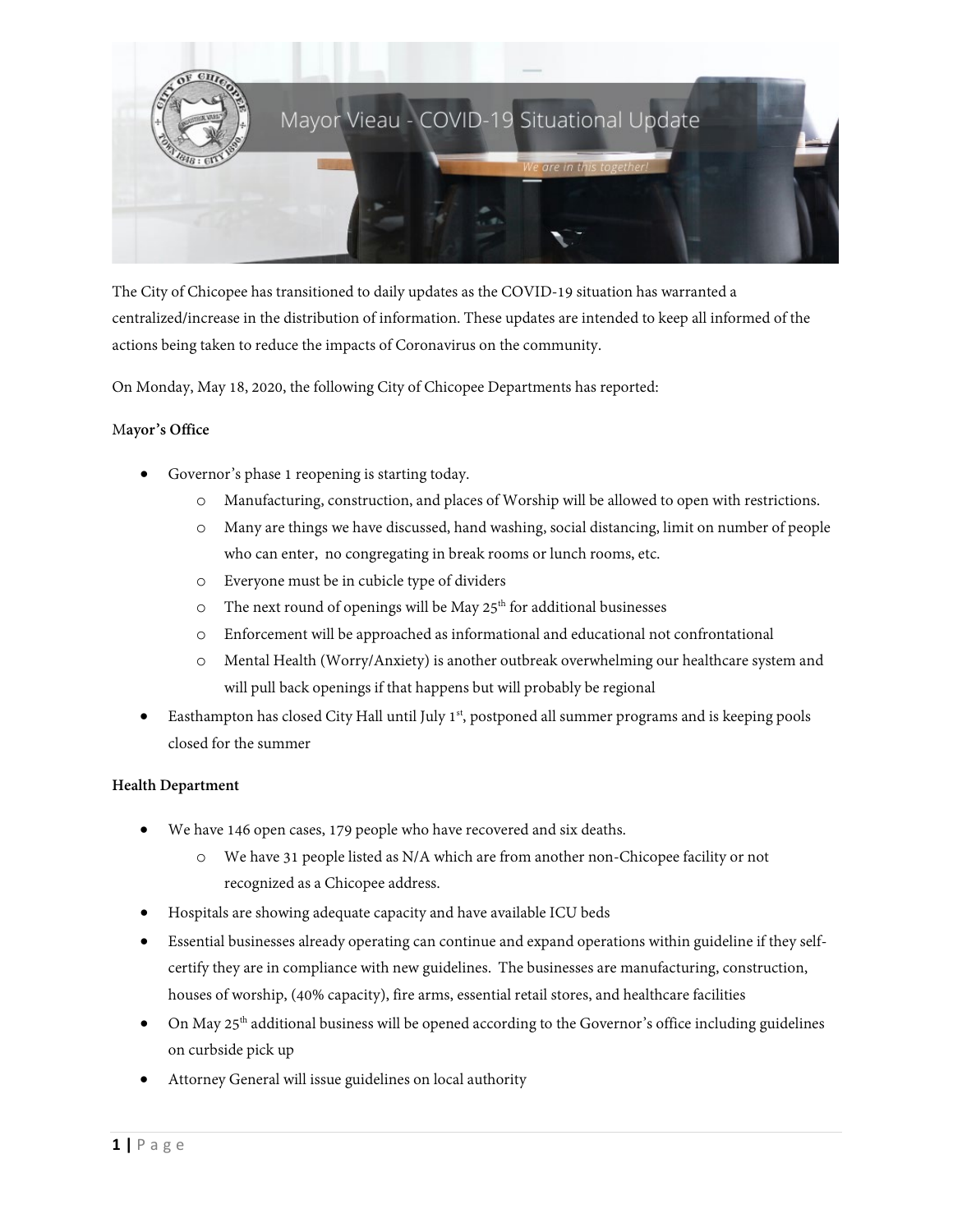

The City of Chicopee has transitioned to daily updates as the COVID-19 situation has warranted a centralized/increase in the distribution of information. These updates are intended to keep all informed of the actions being taken to reduce the impacts of Coronavirus on the community.

On Monday, May 18, 2020, the following City of Chicopee Departments has reported:

# M**ayor's Office**

- Governor's phase 1 reopening is starting today.
	- o Manufacturing, construction, and places of Worship will be allowed to open with restrictions.
	- o Many are things we have discussed, hand washing, social distancing, limit on number of people who can enter, no congregating in break rooms or lunch rooms, etc.
	- o Everyone must be in cubicle type of dividers
	- $\circ$  The next round of openings will be May 25<sup>th</sup> for additional businesses
	- o Enforcement will be approached as informational and educational not confrontational
	- o Mental Health (Worry/Anxiety) is another outbreak overwhelming our healthcare system and will pull back openings if that happens but will probably be regional
- Easthampton has closed City Hall until July 1<sup>st</sup>, postponed all summer programs and is keeping pools closed for the summer

# **Health Department**

- We have 146 open cases, 179 people who have recovered and six deaths.
	- o We have 31 people listed as N/A which are from another non-Chicopee facility or not recognized as a Chicopee address.
- Hospitals are showing adequate capacity and have available ICU beds
- Essential businesses already operating can continue and expand operations within guideline if they selfcertify they are in compliance with new guidelines. The businesses are manufacturing, construction, houses of worship, (40% capacity), fire arms, essential retail stores, and healthcare facilities
- On May 25<sup>th</sup> additional business will be opened according to the Governor's office including guidelines on curbside pick up
- Attorney General will issue guidelines on local authority